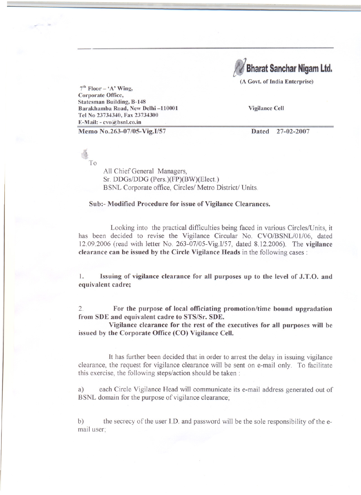**Bharat Sanchar Nigam Ltd.** 

(A Govt. of India Enterprise)

 $7<sup>th</sup>$  Floor – 'A' Wing, Corporate Office, Statesman Building, B-148 Barakhamba Road, New Delhi -110001 Tel No 23734340, Fax 23734300 E-Mail: - cvo@bsnl.co.in

Vigilance Cell

Memo No.263-07/05-Vig.I/57

Dated 27-02-2007

~ To

> All Chief General Managers, Sf. DDGs/DDG (Pers.)(FP)(BW)(Elect.) BSNL Corporate office, Circles/ Metro District/ Units.

## Sub:- Modified Procedure for issue of Vigilance Clearances.

Looking into the practical difficulties being faced in various Circles/Units, it has been decided to revise the Vigilance Circular No. CVO/BSNL/01/06, dated 12.09.2006 (read with letter No. 263-07/05-Vig.I/57, dated 8.12.2006). The vigilance clearance can be issued by the Circle Vigilance Heads in the following cases:

1. Issuing of vigilance clearance for all purposes up to the level of J.T.O. and equivalent cadre;

2. For the purpose of local officiating promotion/time bound upgradation from SDE and equivalent cadre to STS/Sr. SDE.

Vigilance clearance for the rest of the executives for all purposes will be issued by the Corporate Office (CO) Vigilance Cell.

It has further been decided that in order to arrest the delay in issuing vigilance clearance, the request for vigilance clearance will be sent on e-mail only. To facilitate this exercise, the following steps/action should be taken:

a) each Circle Vigilance Head will communicate its e-mail address generated out of BSNL domain for the purpose of vigilance clearance;

b) the secrecy of the user J.D. and password will be the sole responsibility of the email user;